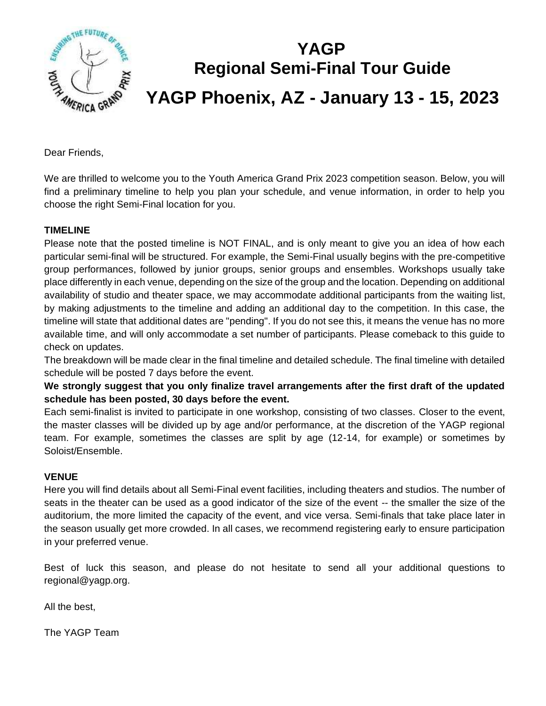

# **YAGP Regional Semi-Final Tour Guide YAGP Phoenix, AZ - January 13 - 15, 2023**

Dear Friends,

We are thrilled to welcome you to the Youth America Grand Prix 2023 competition season. Below, you will find a preliminary timeline to help you plan your schedule, and venue information, in order to help you choose the right Semi-Final location for you.

#### **TIMELINE**

Please note that the posted timeline is NOT FINAL, and is only meant to give you an idea of how each particular semi-final will be structured. For example, the Semi-Final usually begins with the pre-competitive group performances, followed by junior groups, senior groups and ensembles. Workshops usually take place differently in each venue, depending on the size of the group and the location. Depending on additional availability of studio and theater space, we may accommodate additional participants from the waiting list, by making adjustments to the timeline and adding an additional day to the competition. In this case, the timeline will state that additional dates are "pending". If you do not see this, it means the venue has no more available time, and will only accommodate a set number of participants. Please comeback to this guide to check on updates.

The breakdown will be made clear in the final timeline and detailed schedule. The final timeline with detailed schedule will be posted 7 days before the event.

**We strongly suggest that you only finalize travel arrangements after the first draft of the updated schedule has been posted, 30 days before the event.** 

Each semi-finalist is invited to participate in one workshop, consisting of two classes. Closer to the event, the master classes will be divided up by age and/or performance, at the discretion of the YAGP regional team. For example, sometimes the classes are split by age (12-14, for example) or sometimes by Soloist/Ensemble.

#### **VENUE**

Here you will find details about all Semi-Final event facilities, including theaters and studios. The number of seats in the theater can be used as a good indicator of the size of the event -- the smaller the size of the auditorium, the more limited the capacity of the event, and vice versa. Semi-finals that take place later in the season usually get more crowded. In all cases, we recommend registering early to ensure participation in your preferred venue.

Best of luck this season, and please do not hesitate to send all your additional questions to regional@yagp.org.

All the best,

The YAGP Team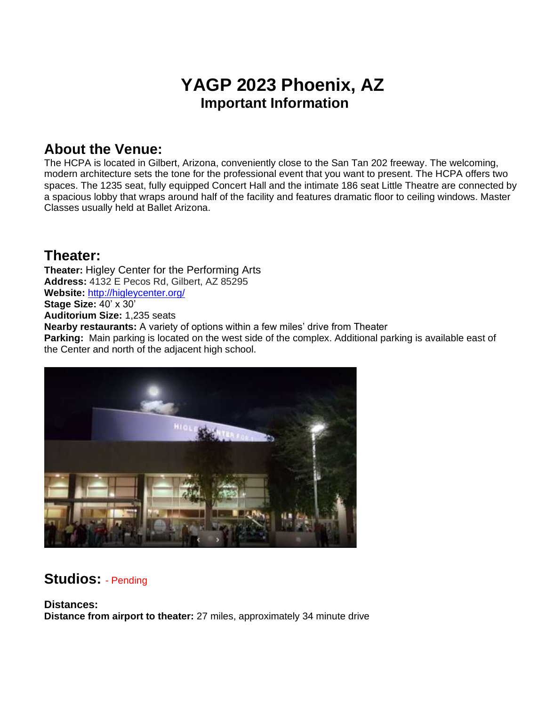## **YAGP 2023 Phoenix, AZ Important Information**

#### **About the Venue:**

The HCPA is located in Gilbert, Arizona, conveniently close to the San Tan 202 freeway. The welcoming, modern architecture sets the tone for the professional event that you want to present. The HCPA offers two spaces. The 1235 seat, fully equipped Concert Hall and the intimate 186 seat Little Theatre are connected by a spacious lobby that wraps around half of the facility and features dramatic floor to ceiling windows. Master Classes usually held at Ballet Arizona.

### **Theater:**

**Theater:** Higley Center for the Performing Arts **Address:** 4132 E Pecos Rd, Gilbert, AZ 85295 **Website:** <http://higleycenter.org/> **Stage Size:** 40' x 30' **Auditorium Size:** 1,235 seats **Nearby restaurants:** A variety of options within a few miles' drive from Theater **Parking:** Main parking is located on the west side of the complex. Additional parking is available east of the Center and north of the adjacent high school.



### **Studios:** - Pending

**Distances: Distance from airport to theater:** 27 miles, approximately 34 minute drive